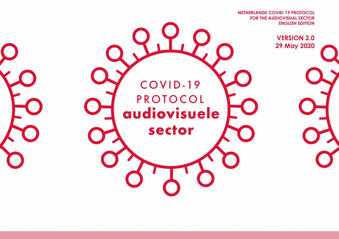**FOR THE AUDIOVISUAL SECTOR NETHERLANDS COVID-19 PROTOCOL ENGLISH EDITION**

> **VERSION 2.0 29 May 2020**

> > **2.0 – 29 mei 2020**

COVID-19 PROTOCOL audiovisuele sector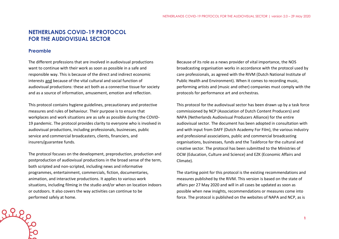# **NETHERLANDS COVID-19 PROTOCOL FOR THE AUDIOVISUAL SECTOR**

#### **Preamble**

Rile<br>Pille

The different professions that are involved in audiovisual productions want to continue with their work as soon as possible in a safe and responsible way. This is because of the direct and indirect economic interests and because of the vital cultural and social function of audiovisual productions: these act both as a connective tissue for society and as a source of information, amusement, emotion and reflection.

This protocol contains hygiene guidelines, precautionary and protective measures and rules of behaviour. Their purpose is to ensure that workplaces and work situations are as safe as possible during the COVID-19 pandemic. The protocol provides clarity to everyone who is involved in audiovisual productions, including professionals, businesses, public service and commercial broadcasters, clients, financiers, and insurers/guarantee funds.

The protocol focuses on the development, preproduction, production and postproduction of audiovisual productions in the broad sense of the term, both scripted and non-scripted, including news and informative programmes, entertainment, commercials, fiction, documentaries, animation, and interactive productions. It applies to various work situations, including filming in the studio and/or when on location indoors or outdoors. It also covers the way activities can continue to be performed safely at home.

Because of its role as a news provider of vital importance, the NOS broadcasting organisation works in accordance with the protocol used by care professionals, as agreed with the RIVM (Dutch National Institute of Public Health and Environment). When it comes to recording music, performing artists and (music and other) companies must comply with the protocols for performance art and orchestras.

This protocol for the audiovisual sector has been drawn up by a task force commissioned by NCP (Association of Dutch Content Producers) and NAPA (Netherlands Audiovisual Producers Alliance) for the entire audiovisual sector. The document has been adopted in consultation with and with input from DAFF (Dutch Academy For Film), the various industry and professional associations, public and commercial broadcasting organisations, businesses, funds and the Taskforce for the cultural and creative sector. The protocol has been submitted to the Ministries of OCW (Education, Culture and Science) and EZK (Economic Affairs and Climate).

The starting point for this protocol is the existing recommendations and measures published by the RIVM. This version is based on the state of affairs per 27 May 2020 and will in all cases be updated as soon as possible when new insights, recommendations or measures come into force. The protocol is published on the websites of NAPA and NCP, as is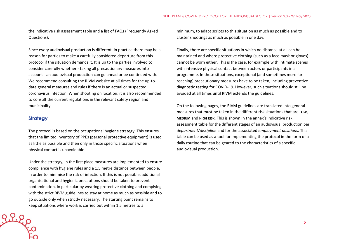the indicative risk assessment table and a list of FAQs (Frequently Asked Questions).

Since every audiovisual production is different, in practice there may be a reason for parties to make a carefully considered departure from this protocol if the situation demands it. It is up to the parties involved to consider carefully whether - taking all precautionary measures into account - an audiovisual production can go ahead or be continued with. We recommend consulting the RIVM website at all times for the up-todate general measures and rules if there is an actual or suspected coronavirus infection. When shooting on location, it is also recommended to consult the current regulations in the relevant safety region and municipality.

#### **Strategy**

The protocol is based on the occupational hygiene strategy. This ensures that the limited inventory of PPEs (personal protective equipment) is used as little as possible and then only in those specific situations when physical contact is unavoidable.

Under the strategy, in the first place measures are implemented to ensure compliance with hygiene rules and a 1.5 metre distance between people, in order to minimise the risk of infection. If this is not possible, additional organisational and hygienic precautions should be taken to prevent contamination, in particular by wearing protective clothing and complying with the strict RIVM guidelines to stay at home as much as possible and to go outside only when strictly necessary. The starting point remains to keep situations where work is carried out within 1.5 metres to a

minimum, to adapt scripts to this situation as much as possible and to cluster shootings as much as possible in one day.

Finally, there are specific situations in which no distance at all can be maintained and where protective clothing (such as a face mask or gloves) cannot be worn either. This is the case, for example with intimate scenes with intensive physical contact between actors or participants in a programme. In these situations, exceptional (and sometimes more farreaching) precautionary measures have to be taken, including preventive diagnostic testing for COVID-19. However, such situations should still be avoided at all times until RIVM extends the guidelines.

On the following pages, the RIVM guidelines are translated into general measures that must be taken in the different risk situations that are **LOW**, **MEDIUM** and **HIGH RISK**. This is shown in the annex's indicative risk assessment table for the different stages of an audiovisual production per *department/discipline* and for the associated *employment positions*. This table can be used as a tool for implementing the protocol in the form of a daily routine that can be geared to the characteristics of a specific audiovisual production.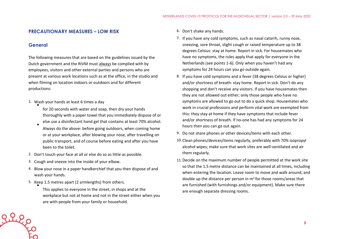#### **PRECAUTIONARY MEASURES – LOW RISK**

#### **General**

The following measures that are based on the guidelines issued by the Dutch government and the RIVM must always be complied with by employees, visitors and other external parties and persons who are present at various work locations such as at the office, in the studio and when filming on location indoors or outdoors and for different productions:

- 1. Wash your hands at least 6 times a day
	- for 20 seconds with water and soap, then dry your hands thoroughly with a paper towel that you immediately dispose of or else use a disinfectant hand gel that contains at least 70% alcohol.
	- Always do the above: before going outdoors, when coming home or at your workplace, after blowing your nose, after travelling on public transport, and of course before eating and after you have been to the toilet.
- 2. Don't touch your face at all or else do so as little as possible.
- 3. Cough and sneeze into the inside of your elbow.
- 4. Blow your nose in a paper handkerchief that you then dispose of and wash your hands.
- 5. Keep 1.5 metres apart (2 armlengths) from others. •

This applies to everyone in the street, in shops and at the workplace but not at home and not in the street either when you are with people from your family or household.

- 6. Don't shake any hands.
- 7. If you have any cold symptoms, such as nasal catarrh, runny nose, sneezing, sore throat, slight cough or raised temperature up to 38 degrees Celsius: stay at home. Report in sick. For housemates who have no symptoms, the rules apply that apply for everyone in the Netherlands (see points 1-6). Only when you haven't had any symptoms for 24 hours can you go outside again.
- 8. If you have cold symptoms and a fever (38 degrees Celsius or higher) and/or shortness of breath: stay home. Report in sick. Don't do any shopping and don't receive any visitors. If you have housemates then they are not allowed out either; only those people who have no symptoms are allowed to go out to do a quick shop. Housemates who work in crucial professions and perform vital work are exempted from this: they stay at home if they have symptoms that include fever and/or shortness of breath. If no-one has had any symptoms for 24 hours then you can go out again.
- 9. Do not share phones or other devices/items with each other.
- 10. Clean phones/devices/items regularly, preferably with 70% isopropyl alcohol wipes; make sure that work sites are well-ventilated and air them regularly.
- 11. Decide on the maximum number of people permitted at the work site so that the 1.5 metre distance can be maintained at all times, including when entering the location. Leave room to move and walk around, and double up the distance per person in  $m<sup>2</sup>$  for those rooms/areas that are furnished (with furnishings and/or equipment). Make sure there are enough separate dressing rooms.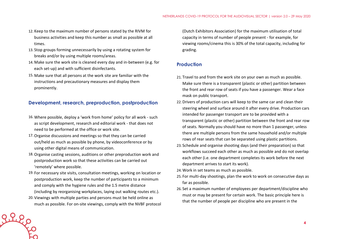- 12. Keep to the maximum number of persons stated by the RIVM for business activities and keep this number as small as possible at all times.
- 13. Stop groups forming unnecessarily by using a rotating system for breaks and/or by using multiple rooms/areas.
- 14. Make sure the work site is cleaned every day and in-between (e.g. for each set-up) and with sufficient disinfectants.
- 15. Make sure that all persons at the work site are familiar with the instructions and precautionary measures and display them prominently.

## **Development, research, preproduction, postproduction**

- 16. Where possible, deploy a 'work from home' policy for all work such as script development, research and editorial work - that does not need to be performed at the office or work site.
- 17.Organise discussions and meetings so that they can be carried out/held as much as possible by phone, by videoconference or by using other digital means of communication.
- 18.Organise casting sessions, auditions or other preproduction work and postproduction work so that these activities can be carried out 'remotely' where possible.
- 19. For necessary site visits, consultation meetings, working on location or postproduction work, keep the number of participants to a minimum and comply with the hygiene rules and the 1.5 metre distance (including by reorganising workplaces, laying out walking routes etc.).
- 20. Viewings with multiple parties and persons must be held online as much as possible. For on-site viewings, comply with the NVBF protocol

(Dutch Exhibitors Association) for the maximum utilisation of total capacity in terms of number of people present - for example, for viewing rooms/cinema this is 30% of the total capacity, including for grading.

## **Production**

- 21. Travel to and from the work site on your own as much as possible. Make sure there is a transparent (plastic or other) partition between the front and rear row of seats if you have a passenger. Wear a face mask on public transport.
- 22. Drivers of production cars will keep to the same car and clean their steering wheel and surface around it after every drive. Production cars intended for passenger transport are to be provided with a transparent (plastic or other) partition between the front and rear row of seats. Normally you should have no more than 1 passenger, unless there are multiple persons from the same household and/or multiple rows of rear seats that can be separated using plastic partitions.
- 23. Schedule and organise shooting days (and their preparation) so that workflows succeed each other as much as possible and do not overlap each other (i.e. one department completes its work before the next department arrives to start its work).
- 24. Work in set teams as much as possible.
- 25. For multi-day shootings, plan the work to work on consecutive days as far as possible.
- 26. Set a maximum number of employees per department/discipline who must or may be present for certain work. The basic principle here is that the number of people per discipline who are present in the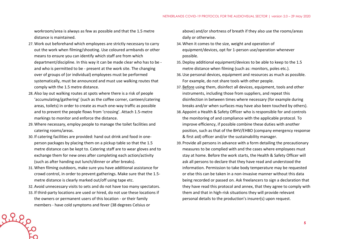workroom/area is always as few as possible and that the 1.5 metre distance is maintained.

- 27. Work out beforehand which employees are strictly necessary to carry out the work when filming/shooting. Use coloured armbands or other means to ensure you can identify which staff are from which department/discipline. In this way it can be made clear who has to be and who is permitted to be - present at the work site. The changing over of groups of (or individual) employees must be performed systematically, must be announced and must use walking routes that comply with the 1.5 metre distance.
- 28. Also lay out walking routes at spots where there is a risk of people 'accumulating/gathering' (such as the coffee corner, canteen/catering areas, toilets) in order to create as much one-way traffic as possible and to prevent the people flows from 'crossing'. Attach 1.5-metre markings to monitor and enforce the distance.
- 29. Where necessary, employ people to manage the toilet facilities and catering rooms/areas.
- 30. If catering facilities are provided: hand out drink and food in oneperson packages by placing them on a pickup table so that the 1.5 metre distance can be kept to. Catering staff are to wear gloves and to exchange them for new ones after completing each action/activity (such as after handing out lunch/dinner or after breaks).
- 31. When filming outdoors, make sure you have additional assistance for crowd control, in order to prevent gatherings. Make sure that the 1.5 metre distance is clearly marked out/off using tape etc.
- 32. Avoid unnecessary visits to sets and do not have too many spectators.
- 33. If third-party locations are used or hired, do not use these locations if the owners or permanent users of this location - or their family members - have cold symptoms and fever (38 degrees Celsius or

above) and/or shortness of breath if they also use the rooms/areas daily or otherwise.

- 34. When it comes to the size, weight and operation of equipment/devices, opt for 1-person use/operation whenever possible.
- 35. Deploy additional equipment/devices to be able to keep to the 1.5 metre distance when filming (such as: monitors, poles etc.).
- 36.Use personal devices, equipment and resources as much as possible. For example, do not share tools with other people.
- 37. Before using them, disinfect all devices, equipment, tools and other instruments, including those from suppliers, and repeat this disinfection in between times where necessary (for example during breaks and/or when surfaces may have also been touched by others).
- 38. Appoint a Health & Safety Officer who is responsible for and controls the monitoring of and compliance with the applicable protocol. To improve efficiency, if possible combine these duties with another position, such as that of the BHV/EHBO (company emergency response & first aid) officer and/or the sustainability manager.
- 39. Provide all persons in advance with a form detailing the precautionary measures to be complied with and the cases where employees must stay at home. Before the work starts, the Health & Safety Officer will ask all persons to declare that they have read and understood the information. Permission to take body temperature may be requested or else this can be taken in a non-invasive manner without this data being recorded or passed on. Ask freelancers to sign a declaration that they have read this protocol and annex, that they agree to comply with them and that in high-risk situations they will provide relevant personal details to the production's insurer(s) upon request.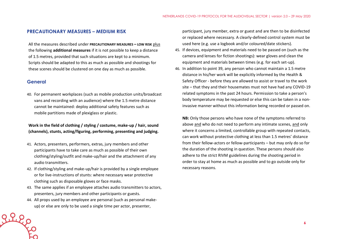#### **PRECAUTIONARY MEASURES – MEDIUM RISK**

All the measures described under **PRECAUTIONARY MEASURES – LOW RISK** plus the following **additional measures** if it is not possible to keep a distance of 1.5 metres, provided that such situations are kept to a minimum. Scripts should be adapted to this as much as possible and shootings for these scenes should be clustered on one day as much as possible.

### **General**

40. For permanent workplaces (such as mobile production units/broadcast vans and recording with an audience) where the 1.5 metre distance cannot be maintained: deploy additional safety features such as mobile partitions made of plexiglass or plastic.

### **Work in the field of clothing / styling / costume, make-up / hair, sound (channels), stunts, acting/figuring, performing, presenting and judging.**

- 41. Actors, presenters, performers, extras, jury members and other participants have to take care as much as possible of their own clothing/styling/outfit and make-up/hair and the attachment of any audio transmitters.
- 42. If clothing/styling and make-up/hair is provided by a single employee or for live-instructions of stunts: where necessary wear protective clothing such as disposable gloves or face masks.
- 43. The same applies if an employee attaches audio transmitters to actors, presenters, jury members and other participants or guests.
- 44. All props used by an employee are personal (such as personal makeup) or else are only to be used a single time per actor, presenter,

participant, jury member, extra or guest and are then to be disinfected or replaced where necessary. A clearly-defined control system must be used here (e.g. use a logbook and/or coloured/date stickers).

- 45. If devices, equipment and materials need to be passed on (such as the camera and lenses for fiction shootings): wear gloves and clean the equipment and materials between times (e.g. for each set-up).
- 46. In addition to point 39, any person who cannot maintain a 1.5 metre distance in his/her work will be explicitly informed by the Health & Safety Officer - before they are allowed to assist or travel to the work site – that they and their housemates must not have had any COVID-19 related symptoms in the past 24 hours. Permission to take a person's body temperature may be requested or else this can be taken in a noninvasive manner without this information being recorded or passed on.

**NB:** Only those persons who have none of the symptoms referred to above and who do not need to perform any intimate scenes, and only where it concerns a limited, controllable group with repeated contacts, can work without protective clothing at less than 1.5 metres' distance from their fellow-actors or fellow-participants – but may only do so for the duration of the shooting in question. These persons should also adhere to the strict RIVM guidelines during the shooting period in order to stay at home as much as possible and to go outside only for necessary reasons.